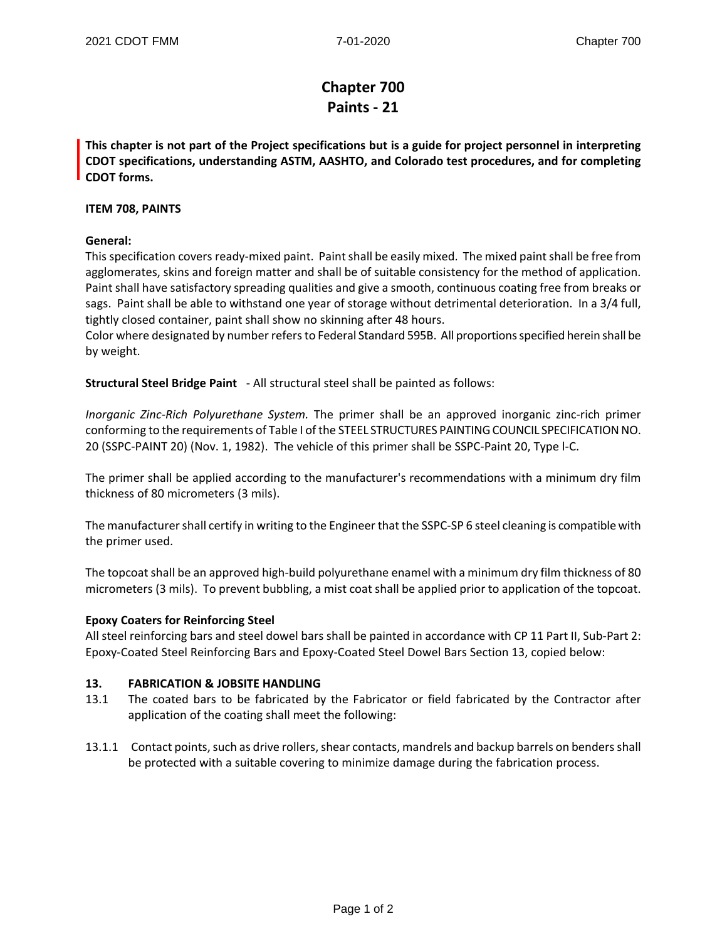# **Chapter 700 Paints - 21**

**This chapter is not part of the Project specifications but is a guide for project personnel in interpreting CDOT specifications, understanding ASTM, AASHTO, and Colorado test procedures, and for completing CDOT forms.** 

## **ITEM 708, PAINTS**

## **General:**

This specification covers ready-mixed paint. Paint shall be easily mixed. The mixed paint shall be free from agglomerates, skins and foreign matter and shall be of suitable consistency for the method of application. Paint shall have satisfactory spreading qualities and give a smooth, continuous coating free from breaks or sags. Paint shall be able to withstand one year of storage without detrimental deterioration. In a 3/4 full, tightly closed container, paint shall show no skinning after 48 hours.

Color where designated by number refers to Federal Standard 595B. All proportions specified herein shall be by weight.

**Structural Steel Bridge Paint** - All structural steel shall be painted as follows:

*Inorganic Zinc-Rich Polyurethane System.* The primer shall be an approved inorganic zinc-rich primer conforming to the requirements of Table I of the STEEL STRUCTURES PAINTING COUNCIL SPECIFICATION NO. 20 (SSPC-PAINT 20) (Nov. 1, 1982). The vehicle of this primer shall be SSPC-Paint 20, Type l-C.

The primer shall be applied according to the manufacturer's recommendations with a minimum dry film thickness of 80 micrometers (3 mils).

The manufacturer shall certify in writing to the Engineer that the SSPC-SP 6 steel cleaning is compatible with the primer used.

The topcoat shall be an approved high-build polyurethane enamel with a minimum dry film thickness of 80 micrometers (3 mils). To prevent bubbling, a mist coat shall be applied prior to application of the topcoat.

### **Epoxy Coaters for Reinforcing Steel**

All steel reinforcing bars and steel dowel bars shall be painted in accordance with CP 11 Part II, Sub-Part 2: Epoxy-Coated Steel Reinforcing Bars and Epoxy-Coated Steel Dowel Bars Section 13, copied below:

### **13. FABRICATION & JOBSITE HANDLING**

- 13.1 The coated bars to be fabricated by the Fabricator or field fabricated by the Contractor after application of the coating shall meet the following:
- 13.1.1 Contact points, such as drive rollers, shear contacts, mandrels and backup barrels on benders shall be protected with a suitable covering to minimize damage during the fabrication process.